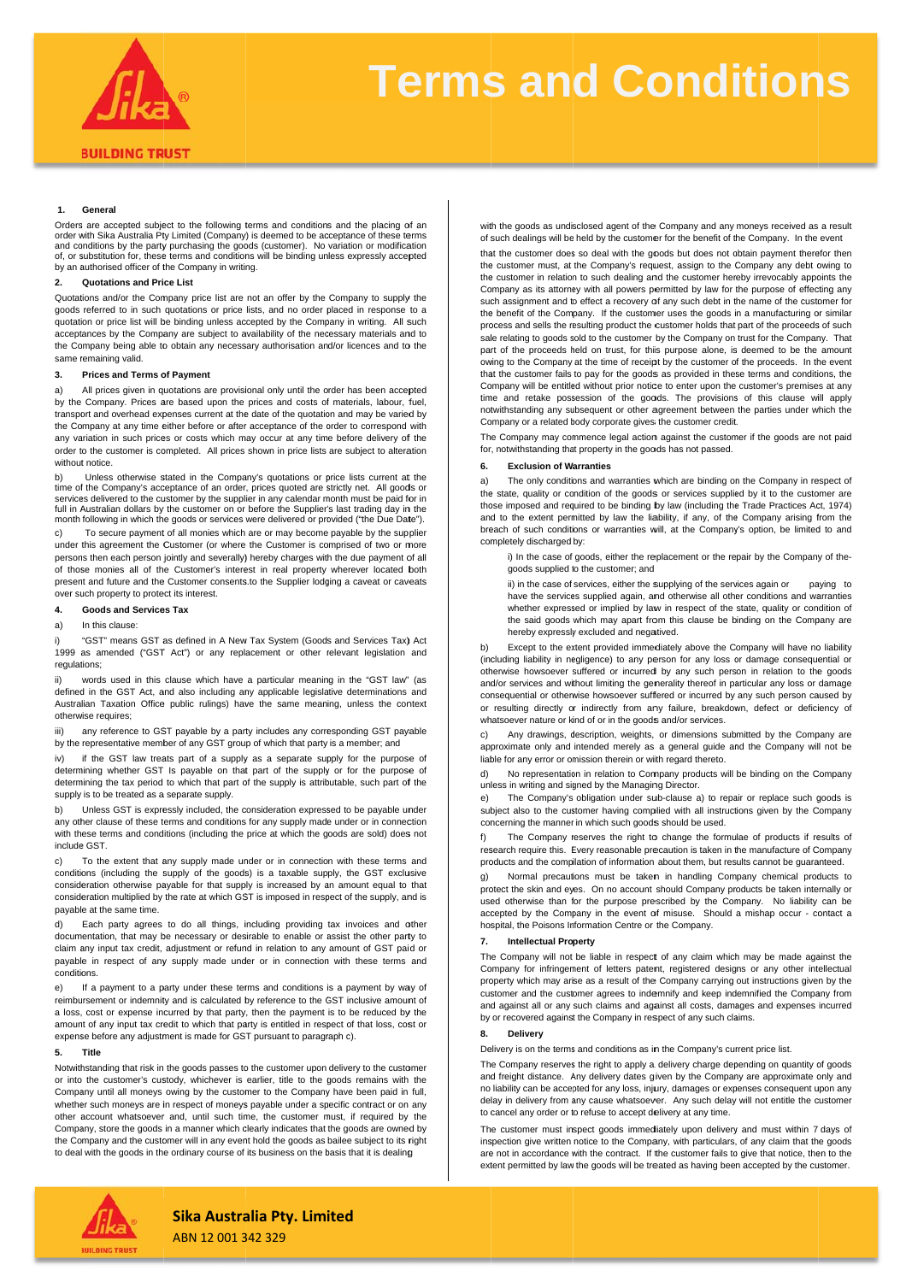

# **Terms and Conditions**

### **1. General**

Orders are accepted subject to the following terms and conditions and the placing of an<br>order with Sika Australia Pty Limited (Company) is deemed to be acceptance of these terms and conditions by the party purchasing the goods (customer). No variation or modification of, or substitution for, these terms and conditions will be binding unless expressly accepted by an authorised officer of the Company in writing.

### **2. Quotations and Pri ce List**

Quotations and/or the Company price list are not an offer by the Company to supply the goods referred to in such quotations or price lists, and no order placed in response to a quotation or price list will be binding unless accepted by the Company in writing. All such acceptances by the Company are subject to availability of the necessary materials and to the Company being able to obtain any necessary authorisation and/or licences and to the same remaining valid.

### **3. Prices and Terms of Payment**

a) by the Company. Prices are based upon the prices and costs of materials, labour, fuel, transport and overhead expenses current at the date of the quotation and may be varied by the Company at any time either before or after acceptance of the order to correspond with any variation in such prices or costs which may occur at any time before delivery of the order to the customer is completed. All prices shown in price lists are subject to alteration without notice. All prices given in quotations are provisional only until the order has been accepted

b) time of the Company's acceptance of an order, prices quoted are strictly net. All goods or services delivered to the customer by the supplier in any calendar month must be paid for in<br>full in Australian dollars by the customer on or before the Supplier's last trading day in the month following in which the goods or services were delivered or provided ("the Due Date"). Unless otherwise stated in the Company's quotations or price lists current at the

c) under this agreement the Customer (or where the Customer is comprised of two or more persons then each person jointly and severally) hereby charges with the due payment of all of those monies all of the Customer's interest in real property wherever located both present and future and the Customer consents.to the Supplier lodging a caveat or caveats over such property to protect its interest. To secure payment of all monies which are or may become payable by the supplier

### **4. Goods and Service es Tax**

### a) In this clause:

i) 1999 as amended ("GST Act") or any replacement or other relevant legislation and regulations; "GST" means GST as defined in A New Tax System (Goods and Services Tax) Act

ii) defined in the GST Act, and also including any applicable legislative determinations and Australian Taxation Office public rulings) have the same meaning, unless the context otherw wise requires; words used in this clause which have a particular meaning in the "GST law" (as

iii) by the representative member of any GST group of which that party is a member; and any reference to GST payable by a party includes any corresponding GST payable

iv) determining whether GST Is payable on that part of the supply or for the purpose of<br>determining the tax period to which that part of the supply is attributable, such part of the supply is to be treated as a a separate supply. if the GST law treats part of a supply as a separate supply for the purpose of

b) any other clause of these terms and conditions for any supply made under or in connection<br>with these terms and conditions (including the price at which the goods are sold) does not include e GST. Unless GST is expressly included, the consideration expressed to be payable under

c) conditions (including the supply of the goods) is a taxable supply, the GST exclusive consideration otherwise payable for that supply is increased by an amount equal to that consideration multiplied by the rate at which GST is imposed in respect of the supply, and is payabl e at the same time. To the extent that any supply made under or in connection with these terms and

d) documentation, that may be necessary or desirable to enable or assist the other party to claim any input tax credit, adjustment or refund in relation to any amount of GST paid or payable in respect of any supply made under or in connection with these terms and conditions. Each party agrees to do all things, including providing tax invoices and other

e) reimbursement or indemnity and is calculated by reference to the GST inclusive amount of a loss, cost or expense incurred by that party, then the payment is to be reduced by the amount of any input tax credit to which that party is entitled in respect of that loss, cost or expense before any adjustment is made for GST pursuant to paragraph c). If a payment to a party under these terms and conditions is a payment by way of

#### **5. Title**

Notwithstanding that risk in the goods passes to the customer upon delivery to the customer or into the customer's custody, whichever is earlier, title to the goods remains with the Company until all moneys owing by the customer to the Company have been paid in full, whether such moneys are in respect of moneys payable under a specific contract or on any other account whatsoever and, until such time, the customer must, if required by the Company, store the goods in a manner which clearly indicates that the goods are owned by the Company and the customer will in any event hold the goods as bailee subject to its right to deal with the goods in the ordinary course of its business on the basis that it is dealing

with the goods as undisclosed agent of the Company and any moneys received as a result of such dealings will be held by the customer for the benefit of the Company. In the event

that the customer does so deal with the goods but does not obtain payment therefor then the customer must, at the Company's request, assign to the Company any debt owing to the customer in relation to such dealing and the customer hereby irrevocably appoints the Company as its attorney with all powers permitted by law for the purpose of effecting any such assignment and to effect a recovery of any such debt in the name of the customer for the benefit of the Company. If the customer uses the goods in a manufacturing or similar process and sells the resulting product the customer holds that part of the proceeds of such sale relating to goods sold to the customer by the Company on trust for the Company. That part of the proceeds held on trust, for thiis purpose alone, is deemed to be the amount owing to the Company at the time of receipt by the customer of the proceeds. In the event that the customer fails to pay for the goods as provided in these terms and conditions, the Company will be entitled without prior notice to enter upon the customer's premises at any time and retake possession of the goods. The provisions of this clause will apply notwithstanding any subsequent or other agreement between the parties under which the Company or a related body corporate gives the customer credit.

The Company may commence legal action against the customer if the goods are not paid for, notwithstanding that property in the goods has not passed.

### **6. Exclusion of W arranties**

a) the state, quality or condition of the goods or services supplied by it to the customer are those imposed and required to be binding by law (including the Trade Practices Act, 1974) and to the extent permitted by law the liability, if any, of the Company arising from the breach of such conditions or warranties will, at the Company's option, be limited to and completely discharged by: The only conditions and warranties which are binding on the Company in respect of

i) In the case of goods, either the replacement or the repair by the Company of thegoods supplied to the customer; and

ii) in the case of services, either the supplying of the services again or pa have the services supplied again, and otherwise all other conditions and warranties whether expressed or implied by law in respect of the state, quality or condition of the said goods which may apart from this clause be binding on the Company are hereby expressly excluded and negatived. aying to

b) (including liability in negligence) to any person for any loss or damage consequential or otherwise howsoever suffered or incurred by any such person in relation to the goods and/or services and without limiting the generality thereof in particular any loss or damage consequential or otherwise howsoever suffiered or incurred by any such person caused by or resulting directly or indirectly from any failure, breakdown, defect or deficiency of whatsoever nature or kind of or in the goods and/or services. Except to the extent provided immediately above the Company will have no liability

c) approximate only and intended merely as a general guide and the Company will not be liable for any error or omission therein or wiith regard thereto. Any drawings, description, weights, or dimensions submitted by the Company are

d) unless in writing and signed by the Managing Director. No representation in relation to Company products will be binding on the Company

e) subject also to the customer having complied with all instructions given by the Company concerning the manner in which such goods should be used. The Company's obligation under sub-clause a) to repair or replace such goods is

f) research require this. Every reasonable precaution is taken in the manufacture of Company products and the compilation of information about them, but results cannot be guaranteed. The Company reserves the right to change the formulae of products if results of

g) protect the skin and eyes. On no account should Company products be taken internally or used otherwise than for the purpose prescribed by the Company. No liability can be accepted by the Company in the event of misuse. Should a mishap occur - contact a hospital, the Poisons Information Centre or the Company. Normal precautions must be taken in handling Company chemical products to

### **7. Intellectual Pro perty**

The Company will not be liable in respect of any claim which may be made against the Company for infringement of letters patent, registered designs or any other intellectual property which may arise as a result of the Company carrying out instructions given by the customer and the customer agrees to indemnify and keep indemnified the Company from and against all or any such claims and against all costs, damages and expenses incurred by or recovered against the Company in respect of any such claims.

### **8. Delivery**

Delivery is on the terms and conditions as in the Company's current price list.

The Company reserves the right to apply a delivery charge depending on quantity of goods and freight distance. Any delivery dates given by the Company are approximate only and no liability can be accepted for any loss, injury, damages or expenses consequent upon any delay in delivery from any cause whatsoever. Any such delay will not entitle the customer to cancel any order or to refuse to accept delivery at any time.

The customer must inspect goods immedliately upon delivery and must within 7 days of inspection give written notice to the Company, with particulars, of any claim that the goods are not in accordance with the contract. If the customer fails to give that notice, then to the extent permitted by law the goods will be treated as having been accepted by the customer.



# **Sika Australia Pty. Limited**

ABN 12 001 3 342 329